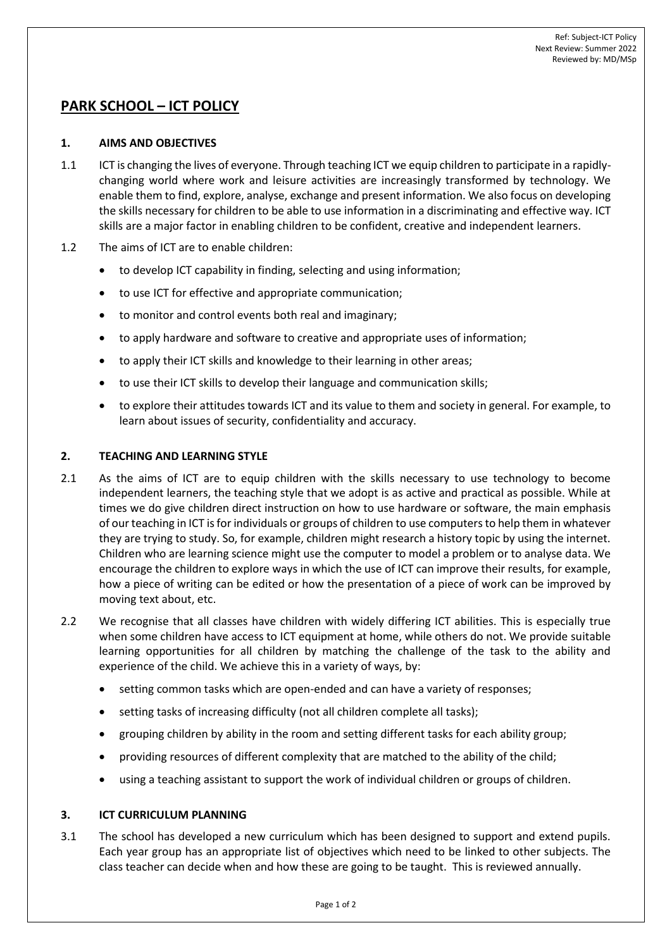# **PARK SCHOOL – ICT POLICY**

# **1. AIMS AND OBJECTIVES**

- 1.1 ICT is changing the lives of everyone. Through teaching ICT we equip children to participate in a rapidlychanging world where work and leisure activities are increasingly transformed by technology. We enable them to find, explore, analyse, exchange and present information. We also focus on developing the skills necessary for children to be able to use information in a discriminating and effective way. ICT skills are a major factor in enabling children to be confident, creative and independent learners.
- 1.2 The aims of ICT are to enable children:
	- to develop ICT capability in finding, selecting and using information;
	- to use ICT for effective and appropriate communication;
	- to monitor and control events both real and imaginary;
	- to apply hardware and software to creative and appropriate uses of information;
	- to apply their ICT skills and knowledge to their learning in other areas;
	- to use their ICT skills to develop their language and communication skills;
	- to explore their attitudes towards ICT and its value to them and society in general. For example, to learn about issues of security, confidentiality and accuracy.

# **2. TEACHING AND LEARNING STYLE**

- 2.1 As the aims of ICT are to equip children with the skills necessary to use technology to become independent learners, the teaching style that we adopt is as active and practical as possible. While at times we do give children direct instruction on how to use hardware or software, the main emphasis of our teaching in ICT is for individuals or groups of children to use computers to help them in whatever they are trying to study. So, for example, children might research a history topic by using the internet. Children who are learning science might use the computer to model a problem or to analyse data. We encourage the children to explore ways in which the use of ICT can improve their results, for example, how a piece of writing can be edited or how the presentation of a piece of work can be improved by moving text about, etc.
- 2.2 We recognise that all classes have children with widely differing ICT abilities. This is especially true when some children have access to ICT equipment at home, while others do not. We provide suitable learning opportunities for all children by matching the challenge of the task to the ability and experience of the child. We achieve this in a variety of ways, by:
	- setting common tasks which are open-ended and can have a variety of responses;
	- setting tasks of increasing difficulty (not all children complete all tasks);
	- grouping children by ability in the room and setting different tasks for each ability group;
	- providing resources of different complexity that are matched to the ability of the child;
	- using a teaching assistant to support the work of individual children or groups of children.

# **3. ICT CURRICULUM PLANNING**

3.1 The school has developed a new curriculum which has been designed to support and extend pupils. Each year group has an appropriate list of objectives which need to be linked to other subjects. The class teacher can decide when and how these are going to be taught. This is reviewed annually.